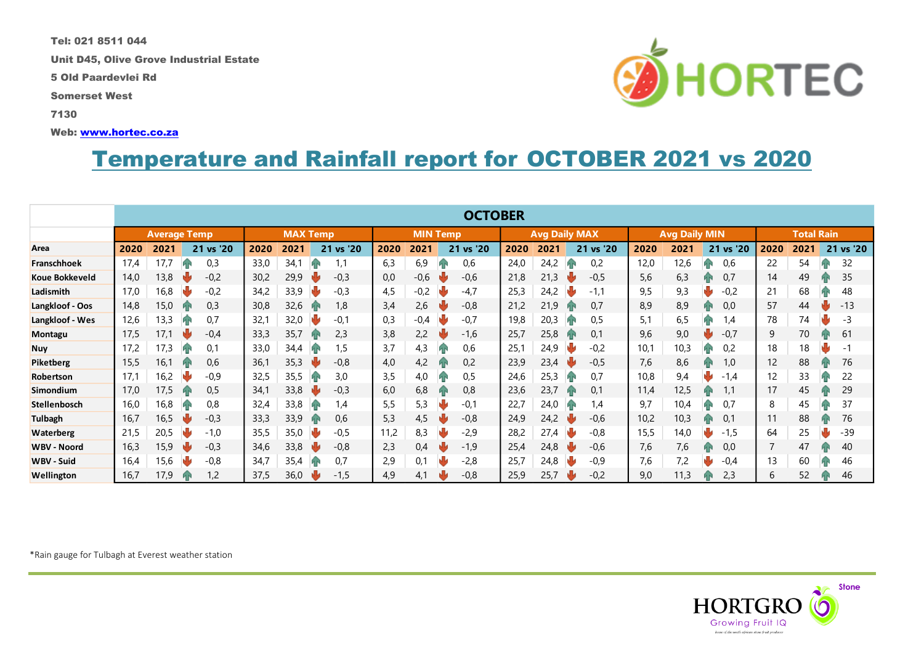Tel: 021 8511 044

Unit D45, Olive Grove Industrial Estate

5 Old Paardevlei Rd

Somerset West

7130

Web: [www.hortec.co.za](http://www.hortec.co.za/)

## Temperature and Rainfall report for OCTOBER 2021 vs 2020

|                       | <b>OCTOBER</b>      |      |    |                 |      |      |                 |           |      |                      |  |           |                      |      |           |                   |      |      |    |           |      |      |    |           |
|-----------------------|---------------------|------|----|-----------------|------|------|-----------------|-----------|------|----------------------|--|-----------|----------------------|------|-----------|-------------------|------|------|----|-----------|------|------|----|-----------|
|                       | <b>Average Temp</b> |      |    | <b>MAX Temp</b> |      |      | <b>MIN Temp</b> |           |      | <b>Avg Daily MAX</b> |  |           | <b>Avg Daily MIN</b> |      |           | <b>Total Rain</b> |      |      |    |           |      |      |    |           |
| Area                  | 2020                | 2021 |    | 21 vs '20       | 2020 | 2021 |                 | 21 vs '20 | 2020 | 2021                 |  | 21 vs '20 | 2020                 | 2021 |           | 21 vs '20         | 2020 | 202' |    | 21 vs '20 | 2020 | 2021 |    | 21 vs '20 |
| Franschhoek           | 17,4                | 17.7 |    | 0,3             | 33,0 | 34,1 | Иг              |           | 6,3  | 6,9                  |  | 0,6       | 24,0                 | 24,2 |           | 0,2               | 12,0 | 12,6 |    | 0,6       | 22   | 54   |    | 32        |
| <b>Koue Bokkeveld</b> | 14,0                | 13,8 |    | $-0,2$          | 30,2 | 29,9 |                 | $-0,3$    | 0,0  | $-0,6$               |  | $-0,6$    | 21,8                 | 21,3 |           | $-0,5$            | 5,6  | 6,3  |    | 0.7       | 14   | 49   | ИΝ | 35        |
| Ladismith             | 17,0                | 16,8 |    | $-0,2$          | 34,2 | 33,9 | J               | $-0,3$    | 4,5  | $-0.2$               |  | -4.7      | 25,3                 | 24,2 |           | $-1,1$            | 9,5  | 9,3  |    | $-0,2$    | 21   | 68   | ив | 48        |
| Langkloof - Oos       | 14,8                | 15,0 |    | 0,3             | 30,8 | 32,6 | И۴              | 1,8       | 3,4  | 2.6                  |  | $-0.8$    | 21,2                 | 21,9 |           | 0,7               | 8,9  | 8,9  | ив | 0.0       | 57   | 44   |    | $-13$     |
| Langkloof - Wes       | 12,6                | 13,3 |    | 0,7             | 32,1 | 32,0 | ψ               | $-0,1$    | 0,3  | $-0.4$               |  | $-0,7$    | 19,8                 | 20,3 |           | 0,5               | 5,1  | 6,5  |    | 1,4       | 78   | 74   |    | -3        |
| Montagu               | 17,5                | 17.1 |    | $-0,4$          | 33,3 | 35,7 |                 | 2,3       | 3,8  | 2,2                  |  | $-1,6$    | 25,7                 | 25,8 |           | $0,^{\circ}$      | 9,6  | 9,0  |    | $-0,7$    | 9    | 70   |    | 61        |
| <b>Nuy</b>            | 17.2                | 17,3 |    | 0,1             | 33,0 | 34,4 |                 | 1,5       | 3,7  | 4,3                  |  | 0,6       | 25,1                 | 24,9 |           | $-0,2$            | 10,1 | 10,3 |    | 0,2       | 18   | 18   |    | $-1$      |
| Piketberg             | 15,5                | 16,1 | ЙŃ | 0,6             | 36,1 | 35.3 |                 | $-0,8$    | 4,0  | 4,2                  |  | 0,2       | 23,9                 | 23,4 |           | $-0.5$            | 7,6  | 8,6  | ИΝ | 1,0       | 12   | 88   |    | 76        |
| Robertson             | 17,1                | 16,2 |    | $-0,9$          | 32,5 | 35,5 | hв              | 3,0       | 3,5  | 4,0                  |  | 0,5       | 24,6                 | 25,3 | ИК        | 0.7               | 10,8 | 9,4  |    | $-1,4$    | 12   | 33   | ИN | 22        |
| Simondium             | 17,0                | 17,5 | ИN | 0,5             | 34,1 | 33,8 | NK              | $-0,3$    | 6,0  | 6,8                  |  | 0,8       | 23,6                 | 23,7 | ИN        | 0,1               | 11,4 | 12,5 | ИN |           | 17   | 45   |    | 29        |
| Stellenbosch          | 16,0                | 16,8 |    | 0,8             | 32,4 | 33,8 | И۴              | 1,4       | 5,5  | 5,3                  |  | -0,1      | 22,7                 | 24,0 | <b>AR</b> | 4,ا               | 9,7  | 10,4 | Иг | 0,7       | 8    | 45   | ив | 37        |
| <b>Tulbagh</b>        | 16,7                | 16,5 |    | $-0,3$          | 33,3 | 33,9 | И۴              | 0,6       | 5,3  | 4,5                  |  | $-0,8$    | 24,9                 | 24,2 |           | $-0,6$            | 10,2 | 10,3 | ИN | 0.1       | 11   | 88   | ив | 76        |
| <b>Waterberg</b>      | 21,5                | 20,5 |    | $-1,0$          | 35,5 | 35,0 | w               | $-0,5$    | 11,2 | 8,3                  |  | -2,9      | 28,2                 | 27,4 |           | $-0.8$            | 15,5 | 14,0 |    | $-1,5$    | 64   | 25   |    | $-39$     |
| <b>WBV - Noord</b>    | 16,3                | 15,9 |    | $-0,3$          | 34,6 | 33,8 |                 | $-0,8$    | 2,3  | 0,4                  |  | $-1,9$    | 25,4                 | 24,8 |           | $-0,6$            | 7,6  | 7,6  |    | 0,0       |      | 47   |    | 40        |
| <b>WBV - Suid</b>     | 16,4                | 15,6 |    | $-0,8$          | 34,7 | 35,4 |                 | 0,7       | 2,9  | 0,1                  |  | $-2,8$    | 25,7                 | 24,8 |           | $-0,9$            | 7,6  | 7,2  |    | $-0.4$    | 13   | 60   |    | 46        |
| Wellington            | 16,7                | 17,9 |    | 1,2             | 37,5 | 36,0 |                 | $-1,5$    | 4,9  | 4,1                  |  | $-0,8$    | 25,9                 | 25,7 |           | $-0,2$            | 9,0  | 11,3 |    | 2,3       | 6    | 52   |    | 46        |



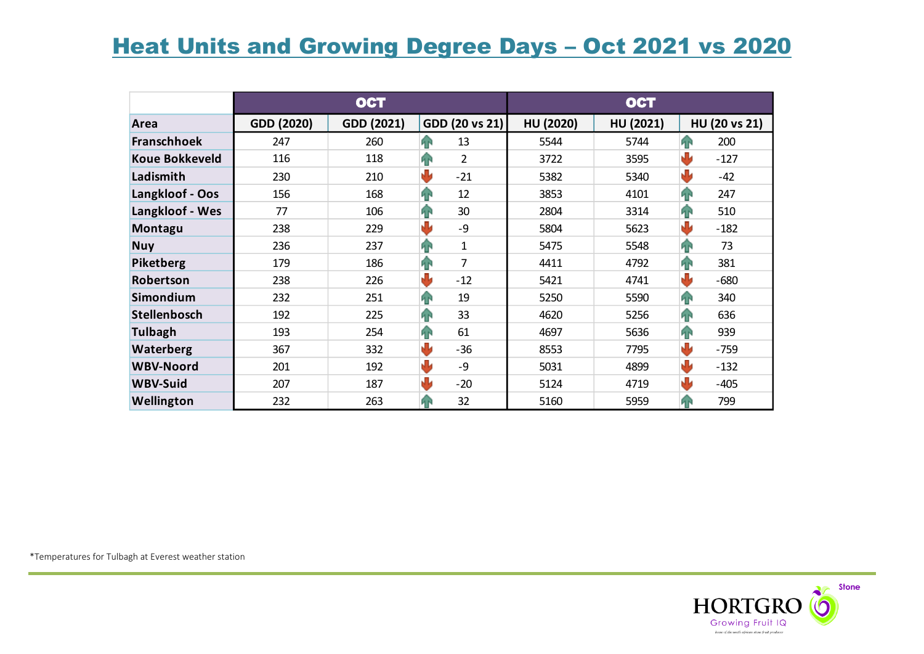## **Heat Units and Growing Degree Days - Oct 2021 vs 2020**

|                       |            | <b>OCT</b> |                                      | <b>OCT</b> |                  |                    |  |  |  |
|-----------------------|------------|------------|--------------------------------------|------------|------------------|--------------------|--|--|--|
| Area                  | GDD (2020) | GDD (2021) | GDD (20 vs 21)                       | HU (2020)  | <b>HU (2021)</b> | HU (20 vs 21)      |  |  |  |
| <b>Franschhoek</b>    | 247        | 260        | 13<br><b>FR</b>                      | 5544       | 5744             | 48<br>200          |  |  |  |
| <b>Koue Bokkeveld</b> | 116        | 118        | $\hat{\mathbf{T}}$<br>$\overline{2}$ | 3722       | 3595             | ₩<br>$-127$        |  |  |  |
| Ladismith             | 230        | 210        | ₩<br>$-21$                           | 5382       | 5340             | ₩<br>$-42$         |  |  |  |
| Langkloof - Oos       | 156        | 168        | $\mathbf{r}$<br>12                   | 3853       | 4101             | 42<br>247          |  |  |  |
| Langkloof - Wes       | 77         | 106        | ⇑<br>30                              | 2804       | 3314             | $\hat{P}$<br>510   |  |  |  |
| Montagu               | 238        | 229        | وآلج<br>-9                           | 5804       | 5623             | ₩<br>$-182$        |  |  |  |
| <b>Nuy</b>            | 236        | 237        | $\mathbf{r}$<br>$\mathbf{1}$         | 5475       | 5548             | $\mathbf{P}$<br>73 |  |  |  |
| <b>Piketberg</b>      | 179        | 186        | $\overline{7}$<br>42                 | 4411       | 4792             | 381<br>42          |  |  |  |
| Robertson             | 238        | 226        | U<br>$-12$                           | 5421       | 4741             | J<br>$-680$        |  |  |  |
| Simondium             | 232        | 251        | 19<br>42                             | 5250       | 5590             | 42<br>340          |  |  |  |
| <b>Stellenbosch</b>   | 192        | 225        | 33<br>42                             | 4620       | 5256             | 42<br>636          |  |  |  |
| <b>Tulbagh</b>        | 193        | 254        | 42<br>61                             | 4697       | 5636             | 42<br>939          |  |  |  |
| Waterberg             | 367        | 332        | J<br>$-36$                           | 8553       | 7795             | U<br>$-759$        |  |  |  |
| <b>WBV-Noord</b>      | 201        | 192        | J<br>-9                              | 5031       | 4899             | U<br>$-132$        |  |  |  |
| <b>WBV-Suid</b>       | 207        | 187        | J<br>$-20$                           | 5124       | 4719             | رال<br>$-405$      |  |  |  |
| Wellington            | 232        | 263        | 32<br>48                             | 5160       | 5959             | 799<br>P P         |  |  |  |

\*Temperatures for Tulbagh at Everest weather station